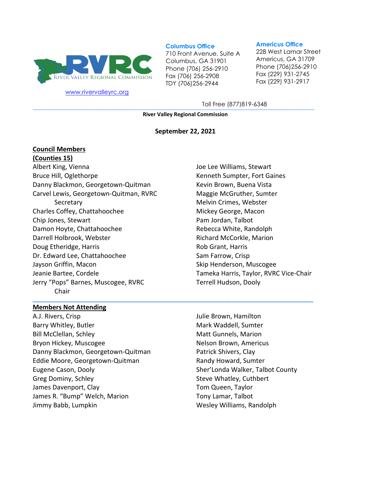

[www.rivervalleyrc.org](http://www.rivervalleyrc.org/)

#### **Columbus Office**

710 Front Avenue, Suite A Columbus, GA 31901 Phone (706) 256-2910 Fax (706) 256-2908 TDY (706)256-2944

#### **Americus Office**

228 West Lamar Street Americus, GA 31709 Phone (706)256-2910 Fax (229) 931-2745 Fax (229) 931-2917

**\_\_\_\_\_\_\_\_\_\_\_\_\_\_\_\_\_\_\_\_\_\_\_\_\_\_\_\_\_\_\_\_\_\_\_\_\_\_\_\_\_\_\_\_\_\_\_\_\_\_\_\_\_\_\_\_\_\_\_\_\_\_\_\_\_\_\_\_\_\_\_\_\_\_\_\_\_\_\_\_\_\_\_\_\_\_\_\_\_\_\_\_\_** Toll Free (877)819-6348

**River Valley Regional Commission**

#### **September 22, 2021**

#### **Council Members**

#### **(Counties 15)**

Albert King, Vienna Bruce Hill, Oglethorpe Danny Blackmon, Georgetown-Quitman Carvel Lewis, Georgetown-Quitman, RVRC **Secretary** Charles Coffey, Chattahoochee Chip Jones, Stewart Damon Hoyte, Chattahoochee Darrell Holbrook, Webster Doug Etheridge, Harris Dr. Edward Lee, Chattahoochee Jayson Griffin, Macon Jeanie Bartee, Cordele Jerry "Pops" Barnes, Muscogee, RVRC Chair **\_\_\_\_\_\_\_\_\_\_\_\_\_\_\_\_\_\_\_\_\_\_\_\_\_\_\_\_\_\_\_\_\_\_\_\_\_\_\_\_\_\_\_\_\_\_\_\_\_\_\_\_\_\_\_\_\_\_\_\_\_\_\_\_\_\_\_\_\_\_\_\_\_\_\_\_\_\_\_\_\_\_\_\_\_\_\_\_\_\_\_\_\_**

# Joe Lee Williams, Stewart Kenneth Sumpter, Fort Gaines Kevin Brown, Buena Vista Maggie McGruther, Sumter Melvin Crimes, Webster Mickey George, Macon Pam Jordan, Talbot Rebecca White, Randolph Richard McCorkle, Marion Rob Grant, Harris Sam Farrow, Crisp Skip Henderson, Muscogee Tameka Harris, Taylor, RVRC Vice-Chair Terrell Hudson, Dooly

#### **Members Not Attending**

A.J. Rivers, Crisp Barry Whitley, Butler Bill McClellan, Schley Bryon Hickey, Muscogee Danny Blackmon, Georgetown-Quitman Eddie Moore, Georgetown-Quitman Eugene Cason, Dooly Greg Dominy, Schley James Davenport, Clay James R. "Bump" Welch, Marion Jimmy Babb, Lumpkin

Julie Brown, Hamilton Mark Waddell, Sumter Matt Gunnels, Marion Nelson Brown, Americus Patrick Shivers, Clay Randy Howard, Sumter Sher'Londa Walker, Talbot County Steve Whatley, Cuthbert Tom Queen, Taylor Tony Lamar, Talbot Wesley Williams, Randolph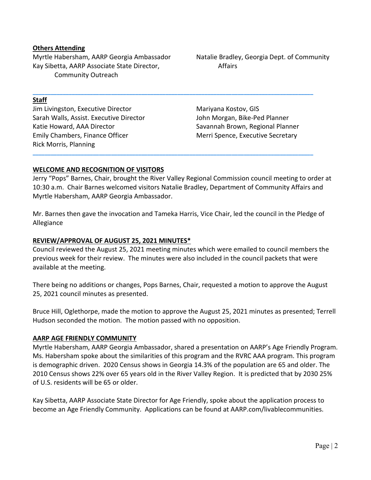#### **Others Attending**

Myrtle Habersham, AARP Georgia Ambassador Kay Sibetta, AARP Associate State Director, Community Outreach

#### **Staff**

Jim Livingston, Executive Director Sarah Walls, Assist. Executive Director Katie Howard, AAA Director Emily Chambers, Finance Officer Rick Morris, Planning

Natalie Bradley, Georgia Dept. of Community Affairs

Mariyana Kostov, GIS John Morgan, Bike-Ped Planner Savannah Brown, Regional Planner Merri Spence, Executive Secretary

## **WELCOME AND RECOGNITION OF VISITORS**

Jerry "Pops" Barnes, Chair, brought the River Valley Regional Commission council meeting to order at 10:30 a.m. Chair Barnes welcomed visitors Natalie Bradley, Department of Community Affairs and Myrtle Habersham, AARP Georgia Ambassador.

**\_\_\_\_\_\_\_\_\_\_\_\_\_\_\_\_\_\_\_\_\_\_\_\_\_\_\_\_\_\_\_\_\_\_\_\_\_\_\_\_\_\_\_\_\_\_\_\_\_\_\_\_\_\_\_\_\_\_\_\_\_\_\_\_\_\_\_\_\_\_\_\_\_\_\_\_\_\_\_\_\_\_\_\_\_\_\_\_\_\_\_\_\_**

**\_\_\_\_\_\_\_\_\_\_\_\_\_\_\_\_\_\_\_\_\_\_\_\_\_\_\_\_\_\_\_\_\_\_\_\_\_\_\_\_\_\_\_\_\_\_\_\_\_\_\_\_\_\_\_\_\_\_\_\_\_\_\_\_\_\_\_\_\_\_\_\_\_\_\_\_\_\_\_\_\_\_\_\_\_\_\_\_\_\_\_\_\_**

Mr. Barnes then gave the invocation and Tameka Harris, Vice Chair, led the council in the Pledge of Allegiance

#### **REVIEW/APPROVAL OF AUGUST 25, 2021 MINUTES\***

Council reviewed the August 25, 2021 meeting minutes which were emailed to council members the previous week for their review. The minutes were also included in the council packets that were available at the meeting.

There being no additions or changes, Pops Barnes, Chair, requested a motion to approve the August 25, 2021 council minutes as presented.

Bruce Hill, Oglethorpe, made the motion to approve the August 25, 2021 minutes as presented; Terrell Hudson seconded the motion. The motion passed with no opposition.

#### **AARP AGE FRIENDLY COMMUNITY**

Myrtle Habersham, AARP Georgia Ambassador, shared a presentation on AARP's Age Friendly Program. Ms. Habersham spoke about the similarities of this program and the RVRC AAA program. This program is demographic driven. 2020 Census shows in Georgia 14.3% of the population are 65 and older. The 2010 Census shows 22% over 65 years old in the River Valley Region. It is predicted that by 2030 25% of U.S. residents will be 65 or older.

Kay Sibetta, AARP Associate State Director for Age Friendly, spoke about the application process to become an Age Friendly Community. Applications can be found at AARP.com/livablecommunities.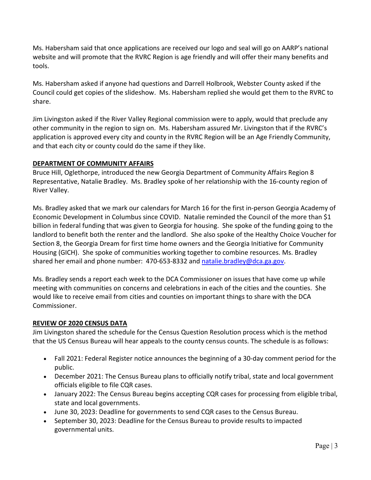Ms. Habersham said that once applications are received our logo and seal will go on AARP's national website and will promote that the RVRC Region is age friendly and will offer their many benefits and tools.

Ms. Habersham asked if anyone had questions and Darrell Holbrook, Webster County asked if the Council could get copies of the slideshow. Ms. Habersham replied she would get them to the RVRC to share.

Jim Livingston asked if the River Valley Regional commission were to apply, would that preclude any other community in the region to sign on. Ms. Habersham assured Mr. Livingston that if the RVRC's application is approved every city and county in the RVRC Region will be an Age Friendly Community, and that each city or county could do the same if they like.

# **DEPARTMENT OF COMMUNITY AFFAIRS**

Bruce Hill, Oglethorpe, introduced the new Georgia Department of Community Affairs Region 8 Representative, Natalie Bradley. Ms. Bradley spoke of her relationship with the 16-county region of River Valley.

Ms. Bradley asked that we mark our calendars for March 16 for the first in-person Georgia Academy of Economic Development in Columbus since COVID. Natalie reminded the Council of the more than \$1 billion in federal funding that was given to Georgia for housing. She spoke of the funding going to the landlord to benefit both the renter and the landlord. She also spoke of the Healthy Choice Voucher for Section 8, the Georgia Dream for first time home owners and the Georgia Initiative for Community Housing (GICH). She spoke of communities working together to combine resources. Ms. Bradley shared her email and phone number: 470-653-8332 and [natalie.bradley@dca.ga.gov.](mailto:natalie.bradley@dca.ga.gov)

Ms. Bradley sends a report each week to the DCA Commissioner on issues that have come up while meeting with communities on concerns and celebrations in each of the cities and the counties. She would like to receive email from cities and counties on important things to share with the DCA Commissioner.

# **REVIEW OF 2020 CENSUS DATA**

Jim Livingston shared the schedule for the Census Question Resolution process which is the method that the US Census Bureau will hear appeals to the county census counts. The schedule is as follows:

- Fall 2021: Federal Register notice announces the beginning of a 30-day comment period for the public.
- December 2021: The Census Bureau plans to officially notify tribal, state and local government officials eligible to file CQR cases.
- January 2022: The Census Bureau begins accepting CQR cases for processing from eligible tribal, state and local governments.
- June 30, 2023: Deadline for governments to send CQR cases to the Census Bureau.
- September 30, 2023: Deadline for the Census Bureau to provide results to impacted governmental units.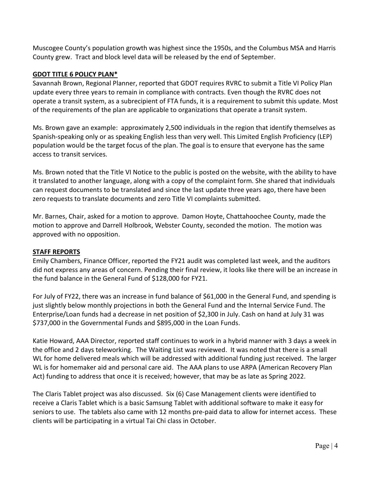Muscogee County's population growth was highest since the 1950s, and the Columbus MSA and Harris County grew. Tract and block level data will be released by the end of September.

# **GDOT TITLE 6 POLICY PLAN\***

Savannah Brown, Regional Planner, reported that GDOT requires RVRC to submit a Title VI Policy Plan update every three years to remain in compliance with contracts. Even though the RVRC does not operate a transit system, as a subrecipient of FTA funds, it is a requirement to submit this update. Most of the requirements of the plan are applicable to organizations that operate a transit system.

Ms. Brown gave an example: approximately 2,500 individuals in the region that identify themselves as Spanish-speaking only or as speaking English less than very well. This Limited English Proficiency (LEP) population would be the target focus of the plan. The goal is to ensure that everyone has the same access to transit services.

Ms. Brown noted that the Title VI Notice to the public is posted on the website, with the ability to have it translated to another language, along with a copy of the complaint form. She shared that individuals can request documents to be translated and since the last update three years ago, there have been zero requests to translate documents and zero Title VI complaints submitted.

Mr. Barnes, Chair, asked for a motion to approve. Damon Hoyte, Chattahoochee County, made the motion to approve and Darrell Holbrook, Webster County, seconded the motion. The motion was approved with no opposition.

## **STAFF REPORTS**

Emily Chambers, Finance Officer, reported the FY21 audit was completed last week, and the auditors did not express any areas of concern. Pending their final review, it looks like there will be an increase in the fund balance in the General Fund of \$128,000 for FY21.

For July of FY22, there was an increase in fund balance of \$61,000 in the General Fund, and spending is just slightly below monthly projections in both the General Fund and the Internal Service Fund. The Enterprise/Loan funds had a decrease in net position of \$2,300 in July. Cash on hand at July 31 was \$737,000 in the Governmental Funds and \$895,000 in the Loan Funds.

Katie Howard, AAA Director, reported staff continues to work in a hybrid manner with 3 days a week in the office and 2 days teleworking. The Waiting List was reviewed. It was noted that there is a small WL for home delivered meals which will be addressed with additional funding just received. The larger WL is for homemaker aid and personal care aid. The AAA plans to use ARPA (American Recovery Plan Act) funding to address that once it is received; however, that may be as late as Spring 2022.

The Claris Tablet project was also discussed. Six (6) Case Management clients were identified to receive a Claris Tablet which is a basic Samsung Tablet with additional software to make it easy for seniors to use. The tablets also came with 12 months pre-paid data to allow for internet access. These clients will be participating in a virtual Tai Chi class in October.